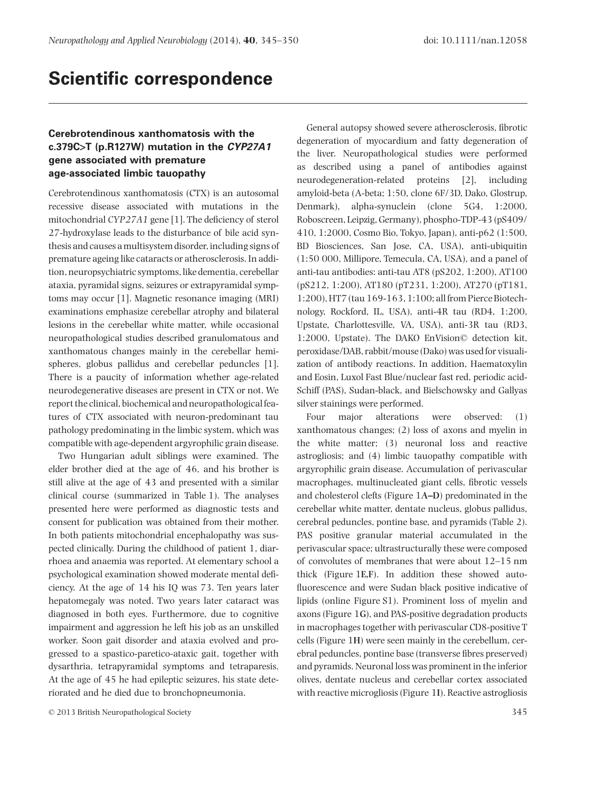# **Scientific correspondence**

## **Cerebrotendinous xanthomatosis with the c.379C>T (p.R127W) mutation in the** *CYP27A1* **gene associated with premature age-associated limbic tauopathy**

Cerebrotendinous xanthomatosis (CTX) is an autosomal recessive disease associated with mutations in the mitochondrial *CYP27A1* gene [1]. The deficiency of sterol 27-hydroxylase leads to the disturbance of bile acid synthesis and causes a multisystem disorder, including signs of premature ageing like cataracts or atherosclerosis. In addition, neuropsychiatric symptoms, like dementia, cerebellar ataxia, pyramidal signs, seizures or extrapyramidal symptoms may occur [1]. Magnetic resonance imaging (MRI) examinations emphasize cerebellar atrophy and bilateral lesions in the cerebellar white matter, while occasional neuropathological studies described granulomatous and xanthomatous changes mainly in the cerebellar hemispheres, globus pallidus and cerebellar peduncles [1]. There is a paucity of information whether age-related neurodegenerative diseases are present in CTX or not. We report the clinical, biochemical and neuropathological features of CTX associated with neuron-predominant tau pathology predominating in the limbic system, which was compatible with age-dependent argyrophilic grain disease.

Two Hungarian adult siblings were examined. The elder brother died at the age of 46, and his brother is still alive at the age of 43 and presented with a similar clinical course (summarized in Table 1). The analyses presented here were performed as diagnostic tests and consent for publication was obtained from their mother. In both patients mitochondrial encephalopathy was suspected clinically. During the childhood of patient 1, diarrhoea and anaemia was reported. At elementary school a psychological examination showed moderate mental deficiency. At the age of 14 his IQ was 73. Ten years later hepatomegaly was noted. Two years later cataract was diagnosed in both eyes. Furthermore, due to cognitive impairment and aggression he left his job as an unskilled worker. Soon gait disorder and ataxia evolved and progressed to a spastico-paretico-ataxic gait, together with dysarthria, tetrapyramidal symptoms and tetraparesis. At the age of 45 he had epileptic seizures, his state deteriorated and he died due to bronchopneumonia.

General autopsy showed severe atherosclerosis, fibrotic degeneration of myocardium and fatty degeneration of the liver. Neuropathological studies were performed as described using a panel of antibodies against neurodegeneration-related proteins [2], including amyloid-beta (A-beta; 1:50, clone 6F/3D, Dako, Glostrup, Denmark), alpha-synuclein (clone 5G4, 1:2000, Roboscreen, Leipzig, Germany), phospho-TDP-43 (pS409/ 410, 1:2000, Cosmo Bio, Tokyo, Japan), anti-p62 (1:500, BD Biosciences, San Jose, CA, USA), anti-ubiquitin (1:50 000, Millipore, Temecula, CA, USA), and a panel of anti-tau antibodies: anti-tau AT8 (pS202, 1:200), AT100 (pS212, 1:200), AT180 (pT231, 1:200), AT270 (pT181, 1:200), HT7 (tau 169-163, 1:100; all from Pierce Biotechnology, Rockford, IL, USA), anti-4R tau (RD4, 1:200, Upstate, Charlottesville, VA, USA), anti-3R tau (RD3, 1:2000, Upstate). The DAKO EnVision© detection kit, peroxidase/DAB, rabbit/mouse (Dako) was used for visualization of antibody reactions. In addition, Haematoxylin and Eosin, Luxol Fast Blue/nuclear fast red, periodic acid-Schiff (PAS), Sudan-black, and Bielschowsky and Gallyas silver stainings were performed.

Four major alterations were observed: (1) xanthomatous changes; (2) loss of axons and myelin in the white matter; (3) neuronal loss and reactive astrogliosis; and (4) limbic tauopathy compatible with argyrophilic grain disease. Accumulation of perivascular macrophages, multinucleated giant cells, fibrotic vessels and cholesterol clefts (Figure 1**A–D**) predominated in the cerebellar white matter, dentate nucleus, globus pallidus, cerebral peduncles, pontine base, and pyramids (Table 2). PAS positive granular material accumulated in the perivascular space; ultrastructurally these were composed of convolutes of membranes that were about 12–15 nm thick (Figure 1**E,F**). In addition these showed autofluorescence and were Sudan black positive indicative of lipids (online Figure S1). Prominent loss of myelin and axons (Figure 1**G**), and PAS-positive degradation products in macrophages together with perivascular CD8-positive T cells (Figure 1**H**) were seen mainly in the cerebellum, cerebral peduncles, pontine base (transverse fibres preserved) and pyramids. Neuronal loss was prominent in the inferior olives, dentate nucleus and cerebellar cortex associated with reactive microgliosis (Figure 1**I**). Reactive astrogliosis

<sup>© 2013</sup> British Neuropathological Society 345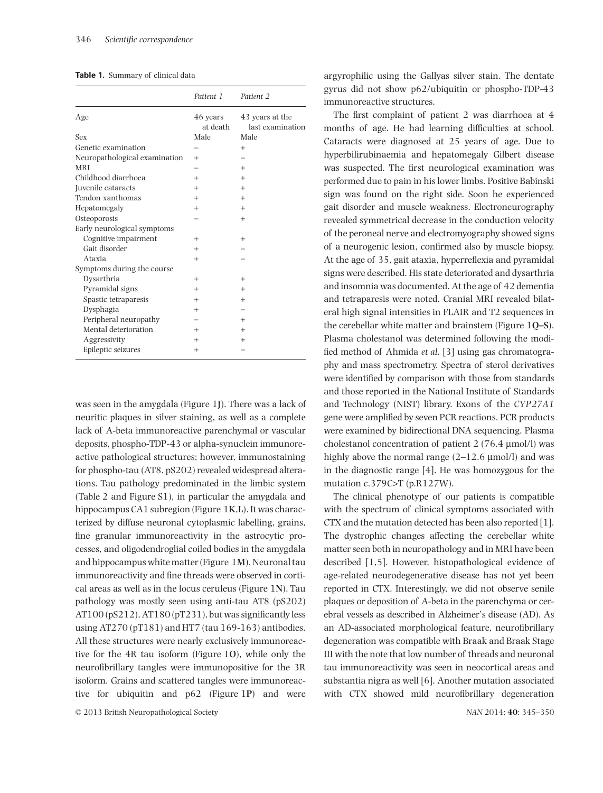|  |  |  | <b>Table 1.</b> Summary of clinical data |  |  |  |
|--|--|--|------------------------------------------|--|--|--|
|--|--|--|------------------------------------------|--|--|--|

|                               | Patient 1            | Patient 2                           |
|-------------------------------|----------------------|-------------------------------------|
| Age                           | 46 years<br>at death | 43 years at the<br>last examination |
| Sex                           | Male                 | Male                                |
| Genetic examination           |                      | $^{+}$                              |
| Neuropathological examination | $^{+}$               |                                     |
| <b>MRI</b>                    |                      | $^{+}$                              |
| Childhood diarrhoea           | $^{+}$               | $^{+}$                              |
| Juvenile cataracts            | $^{+}$               | $^{+}$                              |
| Tendon xanthomas              | $^{+}$               | $^{+}$                              |
| Hepatomegaly                  | $^{+}$               | $^{+}$                              |
| Osteoporosis                  |                      | $^{+}$                              |
| Early neurological symptoms   |                      |                                     |
| Cognitive impairment          | $^{+}$               | $^{+}$                              |
| Gait disorder                 | $^{+}$               |                                     |
| Ataxia                        | $^{+}$               |                                     |
| Symptoms during the course    |                      |                                     |
| Dysarthria                    | $^{+}$               | $^{+}$                              |
| Pyramidal signs               | $^{+}$               | $^{+}$                              |
| Spastic tetraparesis          | $^{+}$               | $^{+}$                              |
| Dysphagia                     | $^{+}$               |                                     |
| Peripheral neuropathy         |                      | $^{+}$                              |
| Mental deterioration          | $^{+}$               | $^{+}$                              |
| Aggressivity                  | $^{+}$               | $^{+}$                              |
| Epileptic seizures            | $^{+}$               |                                     |

was seen in the amygdala (Figure 1**J**). There was a lack of neuritic plaques in silver staining, as well as a complete lack of A-beta immunoreactive parenchymal or vascular deposits, phospho-TDP-43 or alpha-synuclein immunoreactive pathological structures; however, immunostaining for phospho-tau (AT8, pS202) revealed widespread alterations. Tau pathology predominated in the limbic system (Table 2 and Figure S1), in particular the amygdala and hippocampus CA1 subregion (Figure 1**K**,**L**). It was characterized by diffuse neuronal cytoplasmic labelling, grains, fine granular immunoreactivity in the astrocytic processes, and oligodendroglial coiled bodies in the amygdala and hippocampus white matter (Figure 1**M**). Neuronal tau immunoreactivity and fine threads were observed in cortical areas as well as in the locus ceruleus (Figure 1**N**). Tau pathology was mostly seen using anti-tau AT8 (pS202) AT100 (pS212), AT180 (pT231), but was significantly less using AT270 (pT181) and HT7 (tau 169-163) antibodies. All these structures were nearly exclusively immunoreactive for the 4R tau isoform (Figure 1**O**), while only the neurofibrillary tangles were immunopositive for the 3R isoform. Grains and scattered tangles were immunoreactive for ubiquitin and p62 (Figure 1**P**) and were argyrophilic using the Gallyas silver stain. The dentate gyrus did not show p62/ubiquitin or phospho-TDP-43 immunoreactive structures.

The first complaint of patient 2 was diarrhoea at 4 months of age. He had learning difficulties at school. Cataracts were diagnosed at 25 years of age. Due to hyperbilirubinaemia and hepatomegaly Gilbert disease was suspected. The first neurological examination was performed due to pain in his lower limbs. Positive Babinski sign was found on the right side. Soon he experienced gait disorder and muscle weakness. Electroneurography revealed symmetrical decrease in the conduction velocity of the peroneal nerve and electromyography showed signs of a neurogenic lesion, confirmed also by muscle biopsy. At the age of 35, gait ataxia, hyperreflexia and pyramidal signs were described. His state deteriorated and dysarthria and insomnia was documented. At the age of 42 dementia and tetraparesis were noted. Cranial MRI revealed bilateral high signal intensities in FLAIR and T2 sequences in the cerebellar white matter and brainstem (Figure 1**Q–S**). Plasma cholestanol was determined following the modified method of Ahmida *et al*. [3] using gas chromatography and mass spectrometry. Spectra of sterol derivatives were identified by comparison with those from standards and those reported in the National Institute of Standards and Technology (NIST) library. Exons of the *CYP27A1* gene were amplified by seven PCR reactions. PCR products were examined by bidirectional DNA sequencing. Plasma cholestanol concentration of patient 2 (76.4 μmol/l) was highly above the normal range  $(2-12.6 \mu \text{mol/l})$  and was in the diagnostic range [4]. He was homozygous for the mutation c.379C>T (p.R127W).

The clinical phenotype of our patients is compatible with the spectrum of clinical symptoms associated with CTX and the mutation detected has been also reported [1]. The dystrophic changes affecting the cerebellar white matter seen both in neuropathology and in MRI have been described [1,5]. However, histopathological evidence of age-related neurodegenerative disease has not yet been reported in CTX. Interestingly, we did not observe senile plaques or deposition of A-beta in the parenchyma or cerebral vessels as described in Alzheimer's disease (AD). As an AD-associated morphological feature, neurofibrillary degeneration was compatible with Braak and Braak Stage III with the note that low number of threads and neuronal tau immunoreactivity was seen in neocortical areas and substantia nigra as well [6]. Another mutation associated with CTX showed mild neurofibrillary degeneration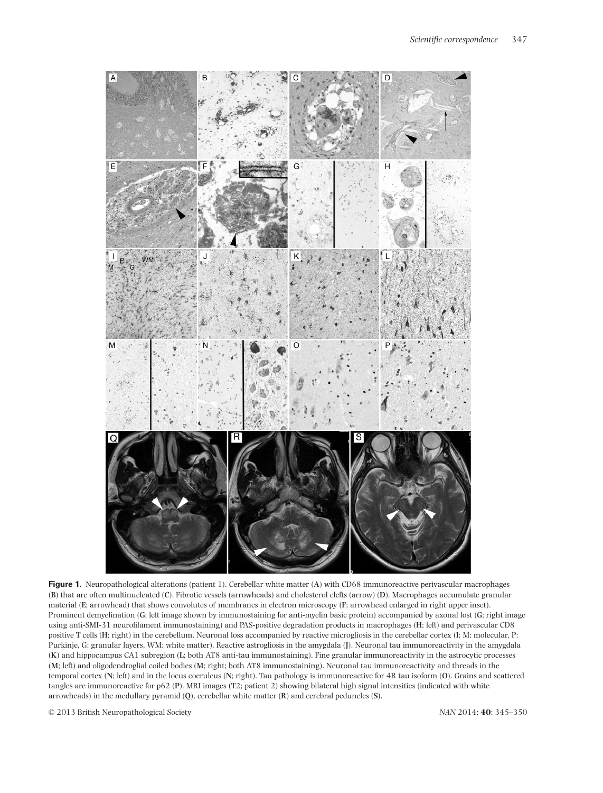

**Figure 1.** Neuropathological alterations (patient 1). Cerebellar white matter (**A**) with CD68 immunoreactive perivascular macrophages (**B**) that are often multinucleated (**C**). Fibrotic vessels (arrowheads) and cholesterol clefts (arrow) (**D**). Macrophages accumulate granular material (**E**; arrowhead) that shows convolutes of membranes in electron microscopy (**F**; arrowhead enlarged in right upper inset). Prominent demyelination (**G**; left image shown by immunostaining for anti-myelin basic protein) accompanied by axonal lost (**G**; right image using anti-SMI-31 neurofilament immunostaining) and PAS-positive degradation products in macrophages (**H**; left) and perivascular CD8 positive T cells (**H**; right) in the cerebellum. Neuronal loss accompanied by reactive microgliosis in the cerebellar cortex (**I**; M: molecular, P: Purkinje, G: granular layers, WM: white matter). Reactive astrogliosis in the amygdala (**J**). Neuronal tau immunoreactivity in the amygdala (**K**) and hippocampus CA1 subregion (**L**; both AT8 anti-tau immunostaining). Fine granular immunoreactivity in the astrocytic processes (**M**; left) and oligodendroglial coiled bodies (**M**; right; both AT8 immunostaining). Neuronal tau immunoreactivity and threads in the temporal cortex (**N**; left) and in the locus coeruleus (**N**; right). Tau pathology is immunoreactive for 4R tau isoform (**O**). Grains and scattered tangles are immunoreactive for p62 (**P**). MRI images (T2; patient 2) showing bilateral high signal intensities (indicated with white arrowheads) in the medullary pyramid (**Q**), cerebellar white matter (**R**) and cerebral peduncles (**S**).

© 2013 British Neuropathological Society *NAN* 2014; **40**: 345–350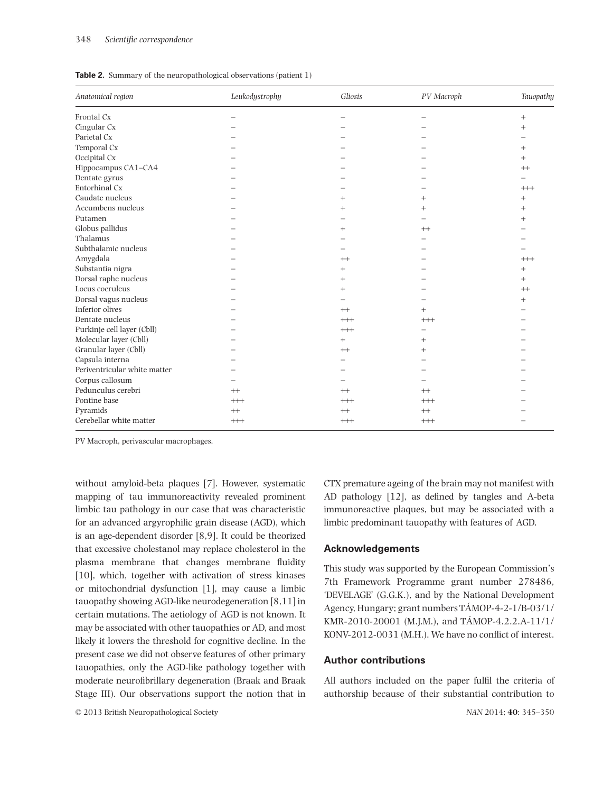|  |  | <b>Table 2.</b> Summary of the neuropathological observations (patient 1) |  |  |
|--|--|---------------------------------------------------------------------------|--|--|
|--|--|---------------------------------------------------------------------------|--|--|

| Anatomical region            | Leukodystrophy | Gliosis  | PV Macroph | Tauopathy |
|------------------------------|----------------|----------|------------|-----------|
| Frontal Cx                   |                |          |            | $+$       |
| Cingular Cx                  |                |          |            | $^{+}$    |
| Parietal Cx                  |                |          |            |           |
| Temporal Cx                  |                |          |            | $^{+}$    |
| Occipital Cx                 |                |          |            | $+$       |
| Hippocampus CA1-CA4          |                |          |            | $^{++}$   |
| Dentate gyrus                |                |          |            |           |
| Entorhinal Cx                |                |          |            | $+++$     |
| Caudate nucleus              |                |          | $^{+}$     | $+$       |
| Accumbens nucleus            |                | $^{+}$   |            | $^{+}$    |
| Putamen                      |                |          |            | $^{+}$    |
| Globus pallidus              |                | $^{+}$   | $^{++}$    |           |
| Thalamus                     |                |          |            |           |
| Subthalamic nucleus          |                |          |            |           |
| Amygdala                     |                | $^{++}$  |            | $++$      |
| Substantia nigra             |                | $+$      |            | $+$       |
| Dorsal raphe nucleus         |                | $^{+}$   |            | $+$       |
| Locus coeruleus              |                | $+$      |            | $^{++}$   |
| Dorsal vagus nucleus         |                |          |            | $+$       |
| Inferior olives              |                | $^{++}$  | $^{+}$     |           |
| Dentate nucleus              |                | $++$     | $+++$      |           |
| Purkinje cell layer (Cbll)   |                | $^{+++}$ |            |           |
| Molecular layer (Cbll)       |                | $+$      | $^{+}$     |           |
| Granular layer (Cbll)        |                | $^{++}$  | $^{+}$     |           |
| Capsula interna              |                |          |            |           |
| Periventricular white matter |                |          |            |           |
| Corpus callosum              |                |          |            |           |
| Pedunculus cerebri           | $++$           | $^{++}$  | $^{++}$    |           |
| Pontine base                 | $^{+++}$       | $^{+++}$ | $^{+++}$   |           |
| Pyramids                     | $++$           | $^{++}$  | $^{++}$    |           |
| Cerebellar white matter      | $+++$          | $++$     | $+++$      |           |

PV Macroph, perivascular macrophages.

without amyloid-beta plaques [7]. However, systematic mapping of tau immunoreactivity revealed prominent limbic tau pathology in our case that was characteristic for an advanced argyrophilic grain disease (AGD), which is an age-dependent disorder [8,9]. It could be theorized that excessive cholestanol may replace cholesterol in the plasma membrane that changes membrane fluidity [10], which, together with activation of stress kinases or mitochondrial dysfunction [1], may cause a limbic tauopathy showing AGD-like neurodegeneration [8,11] in certain mutations. The aetiology of AGD is not known. It may be associated with other tauopathies or AD, and most likely it lowers the threshold for cognitive decline. In the present case we did not observe features of other primary tauopathies, only the AGD-like pathology together with moderate neurofibrillary degeneration (Braak and Braak Stage III). Our observations support the notion that in CTX premature ageing of the brain may not manifest with AD pathology [12], as defined by tangles and A-beta immunoreactive plaques, but may be associated with a limbic predominant tauopathy with features of AGD.

#### **Acknowledgements**

This study was supported by the European Commission's 7th Framework Programme grant number 278486, 'DEVELAGE' (G.G.K.), and by the National Development Agency, Hungary; grant numbers TÁMOP-4-2-1/B-03/1/ KMR-2010-20001 (M.J.M.), and TÁMOP-4.2.2.A-11/1/ KONV-2012-0031 (M.H.). We have no conflict of interest.

### **Author contributions**

All authors included on the paper fulfil the criteria of authorship because of their substantial contribution to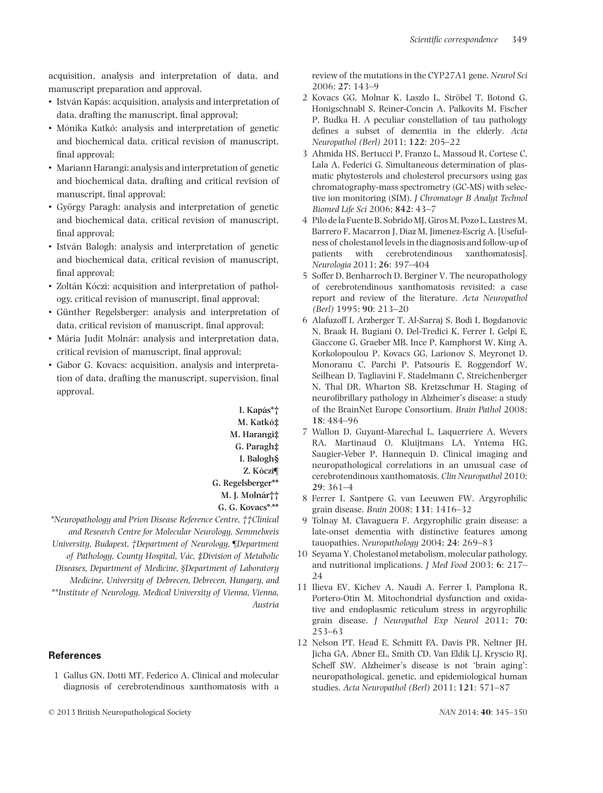acquisition, analysis and interpretation of data, and manuscript preparation and approval.

- István Kapás: acquisition, analysis and interpretation of data, drafting the manuscript, final approval;
- Mónika Katkó: analysis and interpretation of genetic and biochemical data, critical revision of manuscript, final approval;
- Mariann Harangi: analysis and interpretation of genetic and biochemical data, drafting and critical revision of manuscript, final approval;
- György Paragh: analysis and interpretation of genetic and biochemical data, critical revision of manuscript, final approval;
- István Balogh: analysis and interpretation of genetic and biochemical data, critical revision of manuscript, final approval;
- Zoltán Kóczi: acquisition and interpretation of pathology, critical revision of manuscript, final approval;
- Günther Regelsberger: analysis and interpretation of data, critical revision of manuscript, final approval;
- Mária Judit Molnár: analysis and interpretation data, critical revision of manuscript, final approval;
- Gabor G. Kovacs: acquisition, analysis and interpretation of data, drafting the manuscript, supervision, final approval.

**I. Kapás\*† M. Katkó‡ M. Harangi‡ G. Paragh‡ I. Balogh§ Z. Kóczi¶ G. Regelsberger\*\* M. J. Molnár†† G. G. Kovacs\*, \*\***

*\*Neuropathology and Prion Disease Reference Centre, ††Clinical and Research Centre for Molecular Neurology, Semmelweis University, Budapest, †Department of Neurology, ¶Department of Pathology, County Hospital, Vác, ‡Division of Metabolic Diseases, Department of Medicine, §Department of Laboratory Medicine, University of Debrecen, Debrecen, Hungary, and \*\*Institute of Neurology, Medical University of Vienna, Vienna, Austria*

### **References**

1 Gallus GN, Dotti MT, Federico A. Clinical and molecular diagnosis of cerebrotendinous xanthomatosis with a review of the mutations in the CYP27A1 gene. *Neurol Sci* 2006; **27**: 143–9

- 2 Kovacs GG, Molnar K, Laszlo L, Ströbel T, Botond G, Honigschnabl S, Reiner-Concin A, Palkovits M, Fischer P, Budka H. A peculiar constellation of tau pathology defines a subset of dementia in the elderly. *Acta Neuropathol (Berl)* 2011; **122**: 205–22
- 3 Ahmida HS, Bertucci P, Franzo L, Massoud R, Cortese C, Lala A, Federici G. Simultaneous determination of plasmatic phytosterols and cholesterol precursors using gas chromatography-mass spectrometry (GC-MS) with selective ion monitoring (SIM). *J Chromatogr B Analyt Technol Biomed Life Sci* 2006; **842**: 43–7
- 4 Pilo de la Fuente B, Sobrido MJ, Giros M, Pozo L, Lustres M, Barrero F, Macarron J, Diaz M, Jimenez-Escrig A. [Usefulness of cholestanol levels in the diagnosis and follow-up of patients with cerebrotendinous xanthomatosis]. *Neurologia* 2011; **26**: 397–404
- 5 Soffer D, Benharroch D, Berginer V. The neuropathology of cerebrotendinous xanthomatosis revisited: a case report and review of the literature. *Acta Neuropathol (Berl)* 1995; **90**: 213–20
- 6 Alafuzoff I, Arzberger T, Al-Sarraj S, Bodi I, Bogdanovic N, Braak H, Bugiani O, Del-Tredici K, Ferrer I, Gelpi E, Giaccone G, Graeber MB, Ince P, Kamphorst W, King A, Korkolopoulou P, Kovacs GG, Larionov S, Meyronet D, Monoranu C, Parchi P, Patsouris E, Roggendorf W, Seilhean D, Tagliavini F, Stadelmann C, Streichenberger N, Thal DR, Wharton SB, Kretzschmar H. Staging of neurofibrillary pathology in Alzheimer's disease: a study of the BrainNet Europe Consortium. *Brain Pathol* 2008; **18**: 484–96
- 7 Wallon D, Guyant-Marechal L, Laquerriere A, Wevers RA, Martinaud O, Kluijtmans LA, Yntema HG, Saugier-Veber P, Hannequin D. Clinical imaging and neuropathological correlations in an unusual case of cerebrotendinous xanthomatosis. *Clin Neuropathol* 2010; **29**: 361–4
- 8 Ferrer I, Santpere G, van Leeuwen FW. Argyrophilic grain disease. *Brain* 2008; **131**: 1416–32
- 9 Tolnay M, Clavaguera F. Argyrophilic grain disease: a late-onset dementia with distinctive features among tauopathies. *Neuropathology* 2004; **24**: 269–83
- 10 Seyama Y. Cholestanol metabolism, molecular pathology, and nutritional implications. *J Med Food* 2003; **6**: 217– 24
- 11 Ilieva EV, Kichev A, Naudi A, Ferrer I, Pamplona R, Portero-Otin M. Mitochondrial dysfunction and oxidative and endoplasmic reticulum stress in argyrophilic grain disease. *J Neuropathol Exp Neurol* 2011; **70**: 253–63
- 12 Nelson PT, Head E, Schmitt FA, Davis PR, Neltner JH, Jicha GA, Abner EL, Smith CD, Van Eldik LJ, Kryscio RJ, Scheff SW. Alzheimer's disease is not 'brain aging': neuropathological, genetic, and epidemiological human studies. *Acta Neuropathol (Berl)* 2011; **121**: 571–87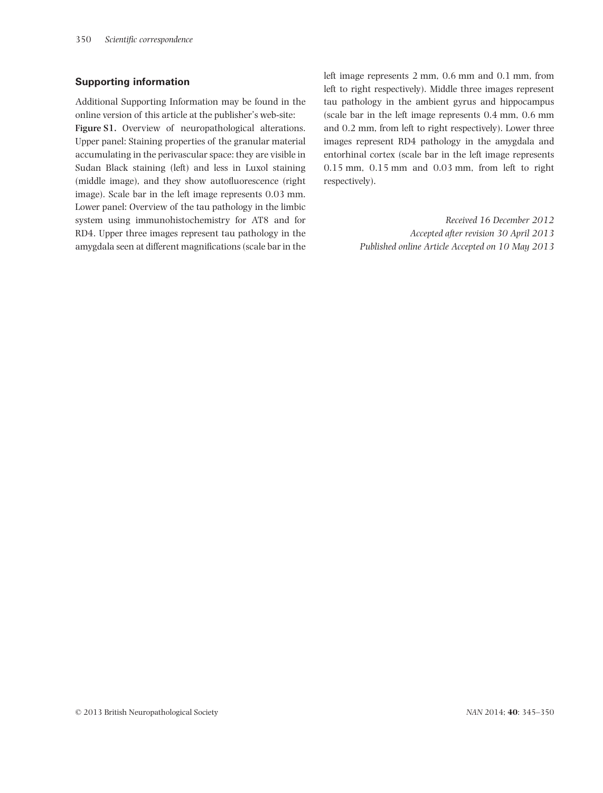#### **Supporting information**

Additional Supporting Information may be found in the online version of this article at the publisher's web-site:

**Figure S1.** Overview of neuropathological alterations. Upper panel: Staining properties of the granular material accumulating in the perivascular space: they are visible in Sudan Black staining (left) and less in Luxol staining (middle image), and they show autofluorescence (right image). Scale bar in the left image represents 0.03 mm. Lower panel: Overview of the tau pathology in the limbic system using immunohistochemistry for AT8 and for RD4. Upper three images represent tau pathology in the amygdala seen at different magnifications (scale bar in the

left image represents 2 mm, 0.6 mm and 0.1 mm, from left to right respectively). Middle three images represent tau pathology in the ambient gyrus and hippocampus (scale bar in the left image represents 0.4 mm, 0.6 mm and 0.2 mm, from left to right respectively). Lower three images represent RD4 pathology in the amygdala and entorhinal cortex (scale bar in the left image represents 0.15 mm, 0.15 mm and 0.03 mm, from left to right respectively).

> *Received 16 December 2012 Accepted after revision 30 April 2013 Published online Article Accepted on 10 May 2013*